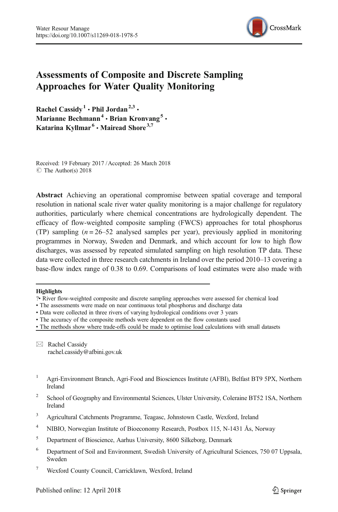

# Assessments of Composite and Discrete Sampling Approaches for Water Quality Monitoring

Rachel Cassidy<sup>1</sup> · Phil Jordan<sup>2,3</sup> · Marianne Bechmann<sup>4</sup> · Brian Kronvang<sup>5</sup> · Katarina Kyllmar<sup>6</sup>  $\cdot$  Mairead Shore<sup>3,7</sup>

Received: 19 February 2017 /Accepted: 26 March 2018  $\odot$  The Author(s) 2018

Abstract Achieving an operational compromise between spatial coverage and temporal resolution in national scale river water quality monitoring is a major challenge for regulatory authorities, particularly where chemical concentrations are hydrologically dependent. The efficacy of flow-weighted composite sampling (FWCS) approaches for total phosphorus (TP) sampling  $(n = 26-52)$  analysed samples per year), previously applied in monitoring programmes in Norway, Sweden and Denmark, and which account for low to high flow discharges, was assessed by repeated simulated sampling on high resolution TP data. These data were collected in three research catchments in Ireland over the period 2010–13 covering a base-flow index range of 0.38 to 0.69. Comparisons of load estimates were also made with

#### **Highlights**

• The assessments were made on near continuous total phosphorus and discharge data

- The accuracy of the composite methods were dependent on the flow constants used
- The methods show where trade-offs could be made to optimise load calculations with small datasets

 $\boxtimes$  Rachel Cassidy [rachel.cassidy@afbini.gov.uk](mailto:rachel.cassidy@afbini.gov.uk)

- <sup>1</sup> Agri-Environment Branch, Agri-Food and Biosciences Institute (AFBI), Belfast BT9 5PX, Northern Ireland
- <sup>2</sup> School of Geography and Environmental Sciences, Ulster University, Coleraine BT52 1SA, Northern Ireland
- <sup>3</sup> Agricultural Catchments Programme, Teagasc, Johnstown Castle, Wexford, Ireland
- <sup>4</sup> NIBIO, Norwegian Institute of Bioeconomy Research, Postbox 115, N-1431 Ås, Norway
- <sup>5</sup> Department of Bioscience, Aarhus University, 8600 Silkeborg, Denmark
- <sup>6</sup> Department of Soil and Environment, Swedish University of Agricultural Sciences, 750 07 Uppsala, Sweden
- <sup>7</sup> Wexford County Council, Carricklawn, Wexford, Ireland

<sup>?</sup>• River flow-weighted composite and discrete sampling approaches were assessed for chemical load

<sup>•</sup> Data were collected in three rivers of varying hydrological conditions over 3 years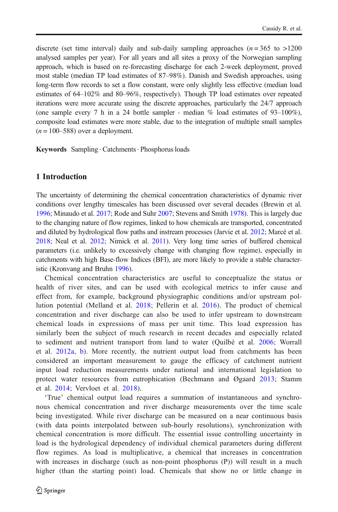discrete (set time interval) daily and sub-daily sampling approaches  $(n = 365$  to  $>1200$ analysed samples per year). For all years and all sites a proxy of the Norwegian sampling approach, which is based on re-forecasting discharge for each 2-week deployment, proved most stable (median TP load estimates of 87–98%). Danish and Swedish approaches, using long-term flow records to set a flow constant, were only slightly less effective (median load estimates of 64–102% and 80–96%, respectively). Though TP load estimates over repeated iterations were more accurate using the discrete approaches, particularly the 24/7 approach (one sample every 7 h in a 24 bottle sampler - median  $%$  load estimates of 93–100%), composite load estimates were more stable, due to the integration of multiple small samples  $(n = 100-588)$  over a deployment.

Keywords Sampling . Catchments. Phosphorus loads

# 1 Introduction

The uncertainty of determining the chemical concentration characteristics of dynamic river conditions over lengthy timescales has been discussed over several decades (Brewin et al. [1996](#page-13-0); Minaudo et al. [2017;](#page-14-0) Rode and Suhr [2007;](#page-15-0) Stevens and Smith [1978\)](#page-15-0). This is largely due to the changing nature of flow regimes, linked to how chemicals are transported, concentrated and diluted by hydrological flow paths and instream processes (Jarvie et al. [2012](#page-14-0); Marcé et al. [2018](#page-14-0); Neal et al. [2012;](#page-14-0) Nimick et al. [2011](#page-14-0)). Very long time series of buffered chemical parameters (i.e. unlikely to excessively change with changing flow regime), especially in catchments with high Base-flow Indices (BFI), are more likely to provide a stable characteristic (Kronvang and Bruhn [1996\)](#page-14-0).

Chemical concentration characteristics are useful to conceptualize the status or health of river sites, and can be used with ecological metrics to infer cause and effect from, for example, background physiographic conditions and/or upstream pollution potential (Melland et al. [2018](#page-14-0); Pellerin et al. [2016](#page-14-0)). The product of chemical concentration and river discharge can also be used to infer upstream to downstream chemical loads in expressions of mass per unit time. This load expression has similarly been the subject of much research in recent decades and especially related to sediment and nutrient transport from land to water (Quilbé et al. [2006](#page-14-0); Worrall et al. [2012a](#page-15-0), [b\)](#page-15-0). More recently, the nutrient output load from catchments has been considered an important measurement to gauge the efficacy of catchment nutrient input load reduction measurements under national and international legislation to protect water resources from eutrophication (Bechmann and Øgaard [2013](#page-13-0); Stamm et al. [2014;](#page-15-0) Vervloet et al. [2018\)](#page-15-0).

'True' chemical output load requires a summation of instantaneous and synchronous chemical concentration and river discharge measurements over the time scale being investigated. While river discharge can be measured on a near continuous basis (with data points interpolated between sub-hourly resolutions), synchronization with chemical concentration is more difficult. The essential issue controlling uncertainty in load is the hydrological dependency of individual chemical parameters during different flow regimes. As load is multiplicative, a chemical that increases in concentration with increases in discharge (such as non-point phosphorus (P)) will result in a much higher (than the starting point) load. Chemicals that show no or little change in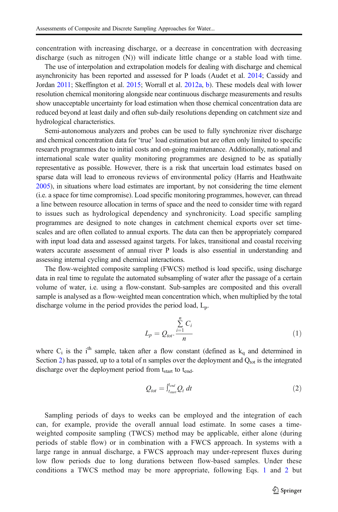<span id="page-2-0"></span>concentration with increasing discharge, or a decrease in concentration with decreasing discharge (such as nitrogen (N)) will indicate little change or a stable load with time.

The use of interpolation and extrapolation models for dealing with discharge and chemical asynchronicity has been reported and assessed for P loads (Audet et al. [2014;](#page-13-0) Cassidy and Jordan [2011](#page-13-0); Skeffington et al. [2015](#page-15-0); Worrall et al. [2012a,](#page-15-0) [b](#page-15-0)). These models deal with lower resolution chemical monitoring alongside near continuous discharge measurements and results show unacceptable uncertainty for load estimation when those chemical concentration data are reduced beyond at least daily and often sub-daily resolutions depending on catchment size and hydrological characteristics.

Semi-autonomous analyzers and probes can be used to fully synchronize river discharge and chemical concentration data for 'true' load estimation but are often only limited to specific research programmes due to initial costs and on-going maintenance. Additionally, national and international scale water quality monitoring programmes are designed to be as spatially representative as possible. However, there is a risk that uncertain load estimates based on sparse data will lead to erroneous reviews of environmental policy (Harris and Heathwaite [2005](#page-14-0)), in situations where load estimates are important, by not considering the time element (i.e. a space for time compromise). Load specific monitoring programmes, however, can thread a line between resource allocation in terms of space and the need to consider time with regard to issues such as hydrological dependency and synchronicity. Load specific sampling programmes are designed to note changes in catchment chemical exports over set timescales and are often collated to annual exports. The data can then be appropriately compared with input load data and assessed against targets. For lakes, transitional and coastal receiving waters accurate assessment of annual river P loads is also essential in understanding and assessing internal cycling and chemical interactions.

The flow-weighted composite sampling (FWCS) method is load specific, using discharge data in real time to regulate the automated subsampling of water after the passage of a certain volume of water, i.e. using a flow-constant. Sub-samples are composited and this overall sample is analysed as a flow-weighted mean concentration which, when multiplied by the total discharge volume in the period provides the period load,  $L_p$ .

$$
L_p = Q_{tot} \cdot \frac{\sum\limits_{i=1}^n C_i}{n}
$$
 (1)

where  $C_i$  is the i<sup>th</sup> sample, taken after a flow constant (defined as  $k_q$  and determined in Section [2](#page-3-0)) has passed, up to a total of n samples over the deployment and  $Q_{\text{tot}}$  is the integrated discharge over the deployment period from  $t<sub>start</sub>$  to  $t<sub>end</sub>$ .

$$
Q_{tot} = \int_{t_{start}}^{t_{end}} Q_t \, dt \tag{2}
$$

Sampling periods of days to weeks can be employed and the integration of each can, for example, provide the overall annual load estimate. In some cases a timeweighted composite sampling (TWCS) method may be applicable, either alone (during periods of stable flow) or in combination with a FWCS approach. In systems with a large range in annual discharge, a FWCS approach may under-represent fluxes during low flow periods due to long durations between flow-based samples. Under these conditions a TWCS method may be more appropriate, following Eqs. 1 and 2 but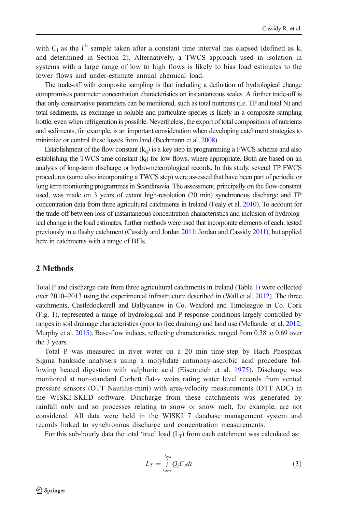<span id="page-3-0"></span>with C<sub>i</sub> as the i<sup>th</sup> sample taken after a constant time interval has elapsed (defined as  $k_t$ ) and determined in Section 2). Alternatively, a TWCS approach used in isolation in systems with a large range of low to high flows is likely to bias load estimates to the lower flows and under-estimate annual chemical load.

The trade-off with composite sampling is that including a definition of hydrological change compromises parameter concentration characteristics on instantaneous scales. A further trade-off is that only conservative parameters can be monitored, such as total nutrients (i.e. TP and total N) and total sediments, as exchange in soluble and particulate species is likely in a composite sampling bottle, even when refrigeration is possible. Nevertheless, the export of total compositions of nutrients and sediments, for example, is an important consideration when developing catchment strategies to minimize or control these losses from land (Bechmann et al. [2008\)](#page-13-0).

Establishment of the flow constant  $(k<sub>q</sub>)$  is a key step in programming a FWCS scheme and also establishing the TWCS time constant  $(k_t)$  for low flows, where appropriate. Both are based on an analysis of long-term discharge or hydro-meteorological records. In this study, several TP FWCS procedures (some also incorporating a TWCS step) were assessed that have been part of periodic or long term monitoring programmes in Scandinavia. The assessment, principally on the flow-constant used, was made on 3 years of extant high-resolution (20 min) synchronous discharge and TP concentration data from three agricultural catchments in Ireland (Fealy et al. [2010\)](#page-14-0). To account for the trade-off between loss of instantaneous concentration characteristics and inclusion of hydrological change in the load estimates, further methods were used that incorporate elements of each, tested previously in a flashy catchment (Cassidy and Jordan [2011](#page-13-0); Jordan and Cassidy [2011](#page-14-0)), but applied here in catchments with a range of BFIs.

## 2 Methods

Total P and discharge data from three agricultural catchments in Ireland (Table [1](#page-4-0)) were collected over 2010–2013 using the experimental infrastructure described in (Wall et al. [2012](#page-15-0)). The three catchments, Castledockerell and Ballycanew in Co. Wexford and Timoleague in Co. Cork (Fig. [1\)](#page-5-0), represented a range of hydrological and P response conditions largely controlled by ranges in soil drainage characteristics (poor to free draining) and land use (Mellander et al. [2012](#page-14-0); Murphy et al. [2015](#page-14-0)). Base-flow indices, reflecting characteristics, ranged from 0.38 to 0.69 over the 3 years.

Total P was measured in river water on a 20 min time-step by Hach Phosphax Sigma bankside analysers using a molybdate antimony-ascorbic acid procedure following heated digestion with sulphuric acid (Eisenreich et al. [1975](#page-14-0)). Discharge was monitored at non-standard Corbett flat-v weirs rating water level records from vented pressure sensors (OTT Nautilus-mini) with area-velocity measurements (OTT ADC) in the WISKI-SKED software. Discharge from these catchments was generated by rainfall only and so processes relating to snow or snow melt, for example, are not considered. All data were held in the WISKI 7 database management system and records linked to synchronous discharge and concentration measurements.

For this sub-hourly data the total 'true' load  $(L_T)$  from each catchment was calculated as:

$$
L_T = \int_{t_{start}}^{t_{end}} Q_t C_t dt
$$
\n(3)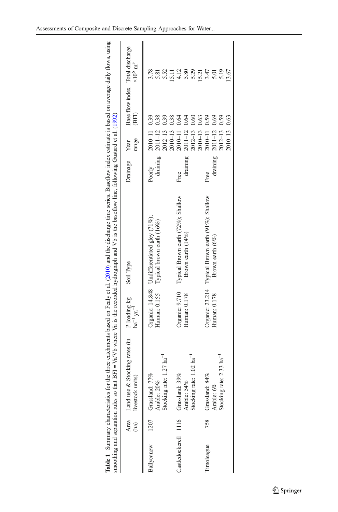<span id="page-4-0"></span>

|            |     |                                                                                                  |              | Table 1 Summary characteristics for the three catchments based on Fealy et al. (2010) and the discharge time series. Baseflow index estimate is based on average daily flows, using<br>smoothing and separation rules so that BFI = Va/Vb where Va is the recorded hydrograph and Vb is the baseflow line, following Gustard et al. (1992) |                    |                                                                |                                          |                               |
|------------|-----|--------------------------------------------------------------------------------------------------|--------------|--------------------------------------------------------------------------------------------------------------------------------------------------------------------------------------------------------------------------------------------------------------------------------------------------------------------------------------------|--------------------|----------------------------------------------------------------|------------------------------------------|-------------------------------|
|            |     | Area Land use & Stocking rates (in $P$ loading kg (ha) livestock units)<br>(ha) livestock units) |              | Soil Type                                                                                                                                                                                                                                                                                                                                  | Drainage Year      | range                                                          | Base flow index Total discharge<br>(BFI) | $\times10^6\,\mathrm{m}^3$    |
| Ballycanew |     | Stocking rate: $1.27 \text{ ha}^{-1}$<br>1207 Grassland: 77%<br>Arable: 20%                      |              | Organic: 14.848 Undifferentiated gley (71%);<br>Human: 0.155 Typical brown earth (16%)                                                                                                                                                                                                                                                     | draining<br>Poorly | 2010-11 0.39<br>$2011 - 12$ 0.38<br>$.012 - 13$<br>$2010 - 13$ | 0.39<br>0.38                             | 5.52<br>3.78<br>15.11<br>5.81 |
|            |     | Stocking rate: $1.02 \text{ ha}^{-1}$<br>Castledockerell 1116 Grassland: 39%<br>Arable: 54%      | Human: 0.178 | Organic: 9.710 Typical Brown earth (72%); Shallow<br>Brown earth (14%)                                                                                                                                                                                                                                                                     | draining<br>Free   | $2011 - 12$<br>$2012 - 13$<br>$2010 - 13$<br>$2010 - 11$       | 0.63<br>0.64<br>0.60<br>0.64             | 5.29<br>4.12<br>5.80<br>15.21 |
| Timoleague | 758 | Stocking rate: 2.33 ha <sup>-1</sup><br>Grassland: $84\%$<br>Arable: 6%                          | Human: 0.178 | Organic: 23.214 Typical Brown earth (91%); Shallow<br>Brown earth (6%)                                                                                                                                                                                                                                                                     | draining<br>Free   | $2010 - 13$<br>$2011 - 12$<br>$2012 - 13$<br>$2010 - 11$       | 0.59<br>0.69<br>0.59<br>0.63             | 3.47<br>5.19<br>13.67<br>5.01 |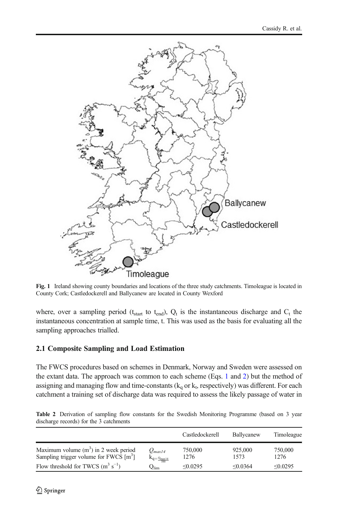<span id="page-5-0"></span>

Fig. 1 Ireland showing county boundaries and locations of the three study catchments. Timoleague is located in County Cork; Castledockerell and Ballycanew are located in County Wexford

where, over a sampling period ( $t<sub>start</sub>$  to  $t<sub>end</sub>$ ),  $Q<sub>t</sub>$  is the instantaneous discharge and  $C<sub>t</sub>$  the instantaneous concentration at sample time, t. This was used as the basis for evaluating all the sampling approaches trialled.

# 2.1 Composite Sampling and Load Estimation

The FWCS procedures based on schemes in Denmark, Norway and Sweden were assessed on the extant data. The approach was common to each scheme (Eqs. [1](#page-2-0) and [2\)](#page-2-0) but the method of assigning and managing flow and time-constants ( $k_q$  or  $k_t$ , respectively) was different. For each catchment a training set of discharge data was required to assess the likely passage of water in

|  | <b>Table 2</b> Derivation of sampling flow constants for the Swedish Monitoring Programme (based on 3 year |  |  |  |  |  |
|--|------------------------------------------------------------------------------------------------------------|--|--|--|--|--|
|  | discharge records) for the 3 catchments                                                                    |  |  |  |  |  |

|                                                                                    |                                              | Castledockerell | Ballycanew      | Timoleague      |
|------------------------------------------------------------------------------------|----------------------------------------------|-----------------|-----------------|-----------------|
| Maximum volume $(m3)$ in 2 week period<br>Sampling trigger volume for FWCS $[m^3]$ | $Q_{max14}$<br>$k_{q=\frac{Q_{max}14}{588}}$ | 750,000<br>1276 | 925,000<br>1573 | 750,000<br>1276 |
| Flow threshold for TWCS $(m^3 s^{-1})$                                             | $Q_{\rm lim}$                                | $\leq 0.0295$   | < 0.0364        | $\leq 0.0295$   |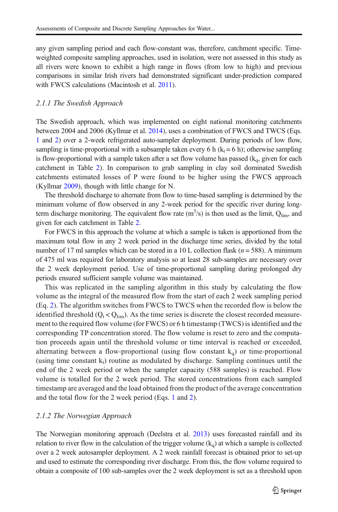any given sampling period and each flow-constant was, therefore, catchment specific. Timeweighted composite sampling approaches, used in isolation, were not assessed in this study as all rivers were known to exhibit a high range in flows (from low to high) and previous comparisons in similar Irish rivers had demonstrated significant under-prediction compared with FWCS calculations (Macintosh et al. [2011\)](#page-14-0).

## 2.1.1 The Swedish Approach

The Swedish approach, which was implemented on eight national monitoring catchments between 2004 and 2006 (Kyllmar et al. [2014\)](#page-14-0), uses a combination of FWCS and TWCS (Eqs. [1](#page-2-0) and [2](#page-2-0)) over a 2-week refrigerated auto-sampler deployment. During periods of low flow, sampling is time-proportional with a subsample taken every 6 h ( $k<sub>t</sub> = 6$  h); otherwise sampling is flow-proportional with a sample taken after a set flow volume has passed  $(k<sub>a</sub>,$  given for each catchment in Table [2\)](#page-5-0). In comparison to grab sampling in clay soil dominated Swedish catchments estimated losses of P were found to be higher using the FWCS approach (Kyllmar [2009\)](#page-14-0), though with little change for N.

The threshold discharge to alternate from flow to time-based sampling is determined by the minimum volume of flow observed in any 2-week period for the specific river during longterm discharge monitoring. The equivalent flow rate  $(m^3/s)$  is then used as the limit,  $Q_{\text{lim}}$ , and given for each catchment in Table [2.](#page-5-0)

For FWCS in this approach the volume at which a sample is taken is apportioned from the maximum total flow in any 2 week period in the discharge time series, divided by the total number of 17 ml samples which can be stored in a 10 L collection flask ( $n = 588$ ). A minimum of 475 ml was required for laboratory analysis so at least 28 sub-samples are necessary over the 2 week deployment period. Use of time-proportional sampling during prolonged dry periods ensured sufficient sample volume was maintained.

This was replicated in the sampling algorithm in this study by calculating the flow volume as the integral of the measured flow from the start of each 2 week sampling period (Eq. [2\)](#page-2-0). The algorithm switches from FWCS to TWCS when the recorded flow is below the identified threshold  $(Q_t < Q_{\text{lim}})$ . As the time series is discrete the closest recorded measurement to the required flow volume (for FWCS) or 6 h timestamp (TWCS) is identified and the corresponding TP concentration stored. The flow volume is reset to zero and the computation proceeds again until the threshold volume or time interval is reached or exceeded, alternating between a flow-proportional (using flow constant  $k_q$ ) or time-proportional (using time constant  $k_t$ ) routine as modulated by discharge. Sampling continues until the end of the 2 week period or when the sampler capacity (588 samples) is reached. Flow volume is totalled for the 2 week period. The stored concentrations from each sampled timestamp are averaged and the load obtained from the product of the average concentration and the total flow for the 2 week period (Eqs. [1](#page-2-0) and [2](#page-2-0)).

## 2.1.2 The Norwegian Approach

The Norwegian monitoring approach (Deelstra et al. [2013\)](#page-13-0) uses forecasted rainfall and its relation to river flow in the calculation of the trigger volume  $(k<sub>a</sub>)$  at which a sample is collected over a 2 week autosampler deployment. A 2 week rainfall forecast is obtained prior to set-up and used to estimate the corresponding river discharge. From this, the flow volume required to obtain a composite of 100 sub-samples over the 2 week deployment is set as a threshold upon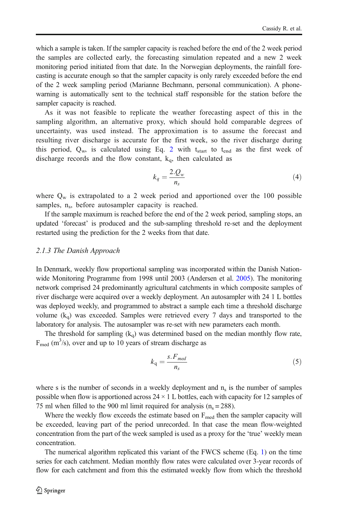<span id="page-7-0"></span>which a sample is taken. If the sampler capacity is reached before the end of the 2 week period the samples are collected early, the forecasting simulation repeated and a new 2 week monitoring period initiated from that date. In the Norwegian deployments, the rainfall forecasting is accurate enough so that the sampler capacity is only rarely exceeded before the end of the 2 week sampling period (Marianne Bechmann, personal communication). A phonewarning is automatically sent to the technical staff responsible for the station before the sampler capacity is reached.

As it was not feasible to replicate the weather forecasting aspect of this in the sampling algorithm, an alternative proxy, which should hold comparable degrees of uncertainty, was used instead. The approximation is to assume the forecast and resulting river discharge is accurate for the first week, so the river discharge during this period,  $Q_w$ , is calculated using Eq. [2](#page-2-0) with t<sub>start</sub> to t<sub>end</sub> as the first week of discharge records and the flow constant,  $k<sub>q</sub>$ , then calculated as

$$
k_q = \frac{2 \cdot Q_w}{n_s} \tag{4}
$$

where  $Q_w$  is extrapolated to a 2 week period and apportioned over the 100 possible samples,  $n_s$ , before autosampler capacity is reached.

If the sample maximum is reached before the end of the 2 week period, sampling stops, an updated 'forecast' is produced and the sub-sampling threshold re-set and the deployment restarted using the prediction for the 2 weeks from that date.

#### 2.1.3 The Danish Approach

In Denmark, weekly flow proportional sampling was incorporated within the Danish Nationwide Monitoring Programme from 1998 until 2003 (Andersen et al. [2005\)](#page-13-0). The monitoring network comprised 24 predominantly agricultural catchments in which composite samples of river discharge were acquired over a weekly deployment. An autosampler with 24 1 L bottles was deployed weekly, and programmed to abstract a sample each time a threshold discharge volume  $(k<sub>a</sub>)$  was exceeded. Samples were retrieved every 7 days and transported to the laboratory for analysis. The autosampler was re-set with new parameters each month.

The threshold for sampling  $(k_q)$  was determined based on the median monthly flow rate,  $F_{\text{med}}$  (m<sup>3</sup>/s), over and up to 10 years of stream discharge as

$$
k_{\rm q} = \frac{s.F_{\rm med}}{n_s} \tag{5}
$$

where s is the number of seconds in a weekly deployment and  $n<sub>s</sub>$  is the number of samples possible when flow is apportioned across  $24 \times 1$  L bottles, each with capacity for 12 samples of 75 ml when filled to the 900 ml limit required for analysis  $(n_s = 288)$ .

Where the weekly flow exceeds the estimate based on  $F_{\text{med}}$  then the sampler capacity will be exceeded, leaving part of the period unrecorded. In that case the mean flow-weighted concentration from the part of the week sampled is used as a proxy for the 'true' weekly mean concentration.

The numerical algorithm replicated this variant of the FWCS scheme (Eq. [1\)](#page-2-0) on the time series for each catchment. Median monthly flow rates were calculated over 3-year records of flow for each catchment and from this the estimated weekly flow from which the threshold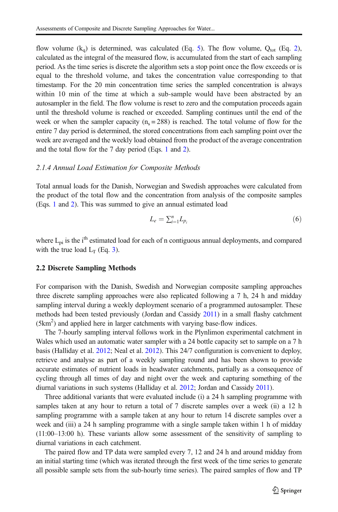flow volume  $(k_q)$  is determined, was calculated (Eq. [5\)](#page-7-0). The flow volume,  $Q_{tot}$  (Eq. [2](#page-2-0)), calculated as the integral of the measured flow, is accumulated from the start of each sampling period. As the time series is discrete the algorithm sets a stop point once the flow exceeds or is equal to the threshold volume, and takes the concentration value corresponding to that timestamp. For the 20 min concentration time series the sampled concentration is always within 10 min of the time at which a sub-sample would have been abstracted by an autosampler in the field. The flow volume is reset to zero and the computation proceeds again until the threshold volume is reached or exceeded. Sampling continues until the end of the week or when the sampler capacity ( $n_s = 288$ ) is reached. The total volume of flow for the entire 7 day period is determined, the stored concentrations from each sampling point over the week are averaged and the weekly load obtained from the product of the average concentration and the total flow for the 7 day period (Eqs. [1](#page-2-0) and [2\)](#page-2-0).

## 2.1.4 Annual Load Estimation for Composite Methods

Total annual loads for the Danish, Norwegian and Swedish approaches were calculated from the product of the total flow and the concentration from analysis of the composite samples (Eqs. [1](#page-2-0) and [2\)](#page-2-0). This was summed to give an annual estimated load

$$
L_e = \sum_{i=1}^n L_{p_i} \tag{6}
$$

where  $L_{\text{pi}}$  is the i<sup>th</sup> estimated load for each of n contiguous annual deployments, and compared with the true load  $L_T$  (Eq. [3](#page-3-0)).

#### 2.2 Discrete Sampling Methods

For comparison with the Danish, Swedish and Norwegian composite sampling approaches three discrete sampling approaches were also replicated following a 7 h, 24 h and midday sampling interval during a weekly deployment scenario of a programmed autosampler. These methods had been tested previously (Jordan and Cassidy [2011\)](#page-14-0) in a small flashy catchment (5km2 ) and applied here in larger catchments with varying base-flow indices.

The 7-hourly sampling interval follows work in the Plynlimon experimental catchment in Wales which used an automatic water sampler with a 24 bottle capacity set to sample on a 7 h basis (Halliday et al. [2012;](#page-14-0) Neal et al. [2012](#page-14-0)). This 24/7 configuration is convenient to deploy, retrieve and analyse as part of a weekly sampling round and has been shown to provide accurate estimates of nutrient loads in headwater catchments, partially as a consequence of cycling through all times of day and night over the week and capturing something of the diurnal variations in such systems (Halliday et al. [2012](#page-14-0); Jordan and Cassidy [2011](#page-14-0)).

Three additional variants that were evaluated include (i) a 24 h sampling programme with samples taken at any hour to return a total of 7 discrete samples over a week (ii) a 12 h sampling programme with a sample taken at any hour to return 14 discrete samples over a week and (iii) a 24 h sampling programme with a single sample taken within 1 h of midday (11:00–13:00 h). These variants allow some assessment of the sensitivity of sampling to diurnal variations in each catchment.

The paired flow and TP data were sampled every 7, 12 and 24 h and around midday from an initial starting time (which was iterated through the first week of the time series to generate all possible sample sets from the sub-hourly time series). The paired samples of flow and TP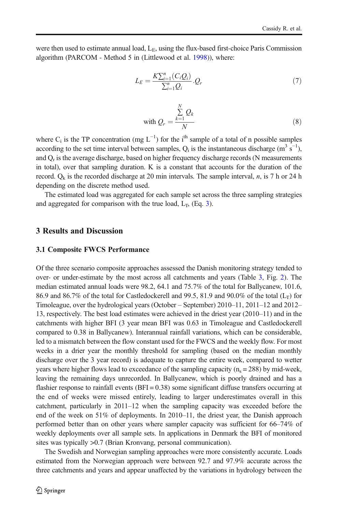were then used to estimate annual load,  $L<sub>E</sub>$ , using the flux-based first-choice Paris Commission algorithm (PARCOM - Method 5 in (Littlewood et al. [1998](#page-14-0))), where:

$$
L_E = \frac{K \sum_{i=1}^{n} (C_i Q_i)}{\sum_{i=1}^{n} Q_i} \cdot Q_r \tag{7}
$$

with 
$$
Q_r = \frac{\sum_{k=1}^{N} Q_k}{N}
$$
 (8)

where  $C_i$  is the TP concentration (mg  $L^{-1}$ ) for the i<sup>th</sup> sample of a total of n possible samples according to the set time interval between samples,  $Q_i$  is the instantaneous discharge (m<sup>3</sup> s<sup>-1</sup>), and Q<sub>r</sub> is the average discharge, based on higher frequency discharge records (N measurements in total), over that sampling duration. K is a constant that accounts for the duration of the record.  $Q_k$  is the recorded discharge at 20 min intervals. The sample interval, n, is 7 h or 24 h depending on the discrete method used.

The estimated load was aggregated for each sample set across the three sampling strategies and aggregated for comparison with the true load,  $L_T$ , (Eq. [3](#page-3-0)).

# 3 Results and Discussion

#### 3.1 Composite FWCS Performance

Of the three scenario composite approaches assessed the Danish monitoring strategy tended to over- or under-estimate by the most across all catchments and years (Table [3](#page-10-0), Fig. [2](#page-11-0)). The median estimated annual loads were 98.2, 64.1 and 75.7% of the total for Ballycanew, 101.6, 86.9 and 86.7% of the total for Castledockerell and 99.5, 81.9 and 90.0% of the total  $(L_T)$  for Timoleague, over the hydrological years (October – September) 2010–11, 2011–12 and 2012– 13, respectively. The best load estimates were achieved in the driest year (2010–11) and in the catchments with higher BFI (3 year mean BFI was 0.63 in Timoleague and Castledockerell compared to 0.38 in Ballycanew). Interannual rainfall variations, which can be considerable, led to a mismatch between the flow constant used for the FWCS and the weekly flow. For most weeks in a drier year the monthly threshold for sampling (based on the median monthly discharge over the 3 year record) is adequate to capture the entire week, compared to wetter years where higher flows lead to exceedance of the sampling capacity  $(n_s = 288)$  by mid-week, leaving the remaining days unrecorded. In Ballycanew, which is poorly drained and has a flashier response to rainfall events (BFI = 0.38) some significant diffuse transfers occurring at the end of weeks were missed entirely, leading to larger underestimates overall in this catchment, particularly in 2011–12 when the sampling capacity was exceeded before the end of the week on 51% of deployments. In 2010–11, the driest year, the Danish approach performed better than on other years where sampler capacity was sufficient for 66–74% of weekly deployments over all sample sets. In applications in Denmark the BFI of monitored sites was typically >0.7 (Brian Kronvang, personal communication).

The Swedish and Norwegian sampling approaches were more consistently accurate. Loads estimated from the Norwegian approach were between 92.7 and 97.9% accurate across the three catchments and years and appear unaffected by the variations in hydrology between the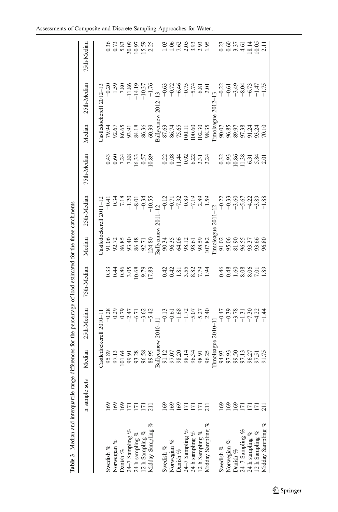<span id="page-10-0"></span>

|                     | n sample set     | Median                                                                                                                                                                                                                                                                                                                                                                                                               | 25th-Median                                                    | 75th-Median | Median                                                                                                                                                                                                                                  | 25th-Median | 75th-Median                                                     | Median                                                                                                                                                                                                                                                                                                                                                                                  | 25th-Median | 75th-Media                                 |
|---------------------|------------------|----------------------------------------------------------------------------------------------------------------------------------------------------------------------------------------------------------------------------------------------------------------------------------------------------------------------------------------------------------------------------------------------------------------------|----------------------------------------------------------------|-------------|-----------------------------------------------------------------------------------------------------------------------------------------------------------------------------------------------------------------------------------------|-------------|-----------------------------------------------------------------|-----------------------------------------------------------------------------------------------------------------------------------------------------------------------------------------------------------------------------------------------------------------------------------------------------------------------------------------------------------------------------------------|-------------|--------------------------------------------|
|                     |                  |                                                                                                                                                                                                                                                                                                                                                                                                                      |                                                                |             |                                                                                                                                                                                                                                         |             |                                                                 |                                                                                                                                                                                                                                                                                                                                                                                         |             |                                            |
| Swedish %           | $\overline{69}$  | $\begin{array}{l} \begin{array}{l} \text{staggeredodest} \\ \text{staggeredodest} \\ \text{St3 8}, \\ \text{St3 9}, \\ \text{St3 11} \\ \text{St3 12} \\ \text{St3 13} \\ \text{St3 14} \\ \text{St3 15} \\ \text{St3 16} \\ \text{St3 17} \\ \text{St3 18} \\ \text{St3 19} \\ \text{St3 10} \\ \text{St3 11} \\ \text{St3 12} \\ \text{St3 13} \\ \text{St3 14} \\ \text{St3 15} \\ \text{St3 16} \\ \text{St3 17$ |                                                                |             | 1<br>1980 - 1980 - 1980 - 1980 - 1980 - 1980 - 1980 - 1980 - 1980 - 1980 - 1980 - 1980 - 1980 - 1980 - 1980 - 1980<br>1980 - 1980 - 1980 - 1980 - 1980 - 1980 - 1980 - 1980 - 1980 - 1980 - 1980 - 1980 - 1980 - 1980 - 1980 - 1980<br> |             |                                                                 | $\begin{array}{l} \text{N4} \text{N4} \text{N4} \text{N4} \text{N4} \text{N4} \text{N4} \text{N4} \text{N4} \text{N4} \text{N4} \text{N4} \text{N4} \text{N4} \text{N4} \text{N4} \text{N4} \text{N4} \text{N4} \text{N4} \text{N4} \text{N4} \text{N4} \text{N4} \text{N4} \text{N4} \text{N4} \text{N4} \text{N4} \text{N4} \text{N4} \text{N4} \text{N4} \text{N4} \text{N4} \text{$ |             |                                            |
| Norwegian %         | 169              |                                                                                                                                                                                                                                                                                                                                                                                                                      |                                                                |             |                                                                                                                                                                                                                                         |             |                                                                 |                                                                                                                                                                                                                                                                                                                                                                                         |             |                                            |
| Danish %            | 169              |                                                                                                                                                                                                                                                                                                                                                                                                                      |                                                                |             |                                                                                                                                                                                                                                         |             |                                                                 |                                                                                                                                                                                                                                                                                                                                                                                         |             |                                            |
| $24-7$ Sampling %   | 171              |                                                                                                                                                                                                                                                                                                                                                                                                                      |                                                                |             |                                                                                                                                                                                                                                         |             | 494 x 358 34934334534 368 x 4684<br>494 x 569 369493454 3688 36 |                                                                                                                                                                                                                                                                                                                                                                                         |             | 36<br>0.73<br>0.83<br>0.95<br>0.83<br>0.83 |
| 24 h sampling $%$   | $\overline{15}$  |                                                                                                                                                                                                                                                                                                                                                                                                                      |                                                                |             |                                                                                                                                                                                                                                         |             |                                                                 |                                                                                                                                                                                                                                                                                                                                                                                         |             |                                            |
| 2 h Sampling $%$    |                  |                                                                                                                                                                                                                                                                                                                                                                                                                      |                                                                |             |                                                                                                                                                                                                                                         |             |                                                                 |                                                                                                                                                                                                                                                                                                                                                                                         |             |                                            |
| Aidday Sampling $%$ | $\overline{2}$   |                                                                                                                                                                                                                                                                                                                                                                                                                      |                                                                |             |                                                                                                                                                                                                                                         |             |                                                                 |                                                                                                                                                                                                                                                                                                                                                                                         |             |                                            |
|                     |                  |                                                                                                                                                                                                                                                                                                                                                                                                                      |                                                                |             |                                                                                                                                                                                                                                         |             |                                                                 |                                                                                                                                                                                                                                                                                                                                                                                         |             |                                            |
| Swedish %           | $\frac{6}{9}$    |                                                                                                                                                                                                                                                                                                                                                                                                                      |                                                                |             |                                                                                                                                                                                                                                         |             |                                                                 |                                                                                                                                                                                                                                                                                                                                                                                         |             |                                            |
| Norwegian %         | 169              |                                                                                                                                                                                                                                                                                                                                                                                                                      |                                                                |             |                                                                                                                                                                                                                                         |             |                                                                 |                                                                                                                                                                                                                                                                                                                                                                                         |             |                                            |
| Danish %            | 169              |                                                                                                                                                                                                                                                                                                                                                                                                                      |                                                                |             |                                                                                                                                                                                                                                         |             |                                                                 |                                                                                                                                                                                                                                                                                                                                                                                         |             |                                            |
| 24-7 Sampling %     | Ξ                |                                                                                                                                                                                                                                                                                                                                                                                                                      |                                                                |             |                                                                                                                                                                                                                                         |             |                                                                 |                                                                                                                                                                                                                                                                                                                                                                                         |             |                                            |
| 24 h sampling $%$   | $\overline{17}$  |                                                                                                                                                                                                                                                                                                                                                                                                                      |                                                                |             |                                                                                                                                                                                                                                         |             |                                                                 |                                                                                                                                                                                                                                                                                                                                                                                         |             |                                            |
| 2 h Sampling $%$    | $\overline{21}$  |                                                                                                                                                                                                                                                                                                                                                                                                                      |                                                                |             |                                                                                                                                                                                                                                         |             |                                                                 |                                                                                                                                                                                                                                                                                                                                                                                         |             |                                            |
| Aidday Sampling $%$ |                  |                                                                                                                                                                                                                                                                                                                                                                                                                      |                                                                |             |                                                                                                                                                                                                                                         |             |                                                                 |                                                                                                                                                                                                                                                                                                                                                                                         |             |                                            |
|                     |                  |                                                                                                                                                                                                                                                                                                                                                                                                                      |                                                                |             |                                                                                                                                                                                                                                         |             |                                                                 |                                                                                                                                                                                                                                                                                                                                                                                         |             |                                            |
| Swedish %           | $\frac{6}{9}$    |                                                                                                                                                                                                                                                                                                                                                                                                                      |                                                                |             |                                                                                                                                                                                                                                         |             |                                                                 |                                                                                                                                                                                                                                                                                                                                                                                         |             |                                            |
| Norwegian %         | 169              |                                                                                                                                                                                                                                                                                                                                                                                                                      |                                                                |             |                                                                                                                                                                                                                                         |             |                                                                 |                                                                                                                                                                                                                                                                                                                                                                                         |             |                                            |
| Danish %            | 169              |                                                                                                                                                                                                                                                                                                                                                                                                                      |                                                                |             |                                                                                                                                                                                                                                         |             |                                                                 |                                                                                                                                                                                                                                                                                                                                                                                         |             |                                            |
| 24-7 Sampling $%$   | $\overline{171}$ |                                                                                                                                                                                                                                                                                                                                                                                                                      | $-0.38$<br>$-0.37$<br>$-1.30$<br>$-1.30$<br>$-1.44$<br>$-1.44$ |             |                                                                                                                                                                                                                                         |             |                                                                 |                                                                                                                                                                                                                                                                                                                                                                                         |             |                                            |
| 24 h sampling $%$   | Ë                |                                                                                                                                                                                                                                                                                                                                                                                                                      |                                                                |             |                                                                                                                                                                                                                                         |             |                                                                 |                                                                                                                                                                                                                                                                                                                                                                                         |             |                                            |
| 12 h Sampling $%$   | Ë                |                                                                                                                                                                                                                                                                                                                                                                                                                      |                                                                |             |                                                                                                                                                                                                                                         |             |                                                                 |                                                                                                                                                                                                                                                                                                                                                                                         |             |                                            |
| Midday Sampling %   |                  |                                                                                                                                                                                                                                                                                                                                                                                                                      |                                                                |             |                                                                                                                                                                                                                                         |             |                                                                 |                                                                                                                                                                                                                                                                                                                                                                                         |             |                                            |
|                     |                  |                                                                                                                                                                                                                                                                                                                                                                                                                      |                                                                |             |                                                                                                                                                                                                                                         |             |                                                                 |                                                                                                                                                                                                                                                                                                                                                                                         |             |                                            |

Table 3 Median and interquartile range differences for the percentage of load estimated for the three catchments

Table 3 Median and interquartile range differences for the percentage of load estimated for the three catchments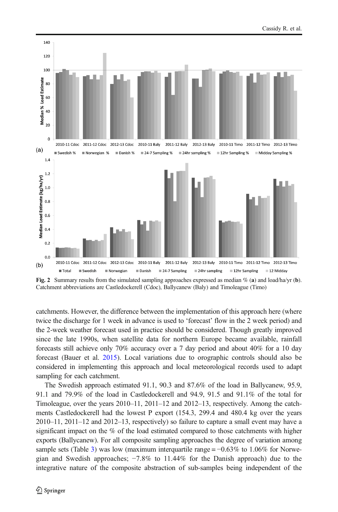<span id="page-11-0"></span>

Fig. 2 Summary results from the simulated sampling approaches expressed as median % (a) and load/ha/yr (b). Catchment abbreviations are Castledockerell (Cdoc), Ballycanew (Baly) and Timoleague (Timo)

catchments. However, the difference between the implementation of this approach here (where twice the discharge for 1 week in advance is used to 'forecast' flow in the 2 week period) and the 2-week weather forecast used in practice should be considered. Though greatly improved since the late 1990s, when satellite data for northern Europe became available, rainfall forecasts still achieve only 70% accuracy over a 7 day period and about 40% for a 10 day forecast (Bauer et al. [2015](#page-13-0)). Local variations due to orographic controls should also be considered in implementing this approach and local meteorological records used to adapt sampling for each catchment.

The Swedish approach estimated 91.1, 90.3 and 87.6% of the load in Ballycanew, 95.9, 91.1 and 79.9% of the load in Castledockerell and 94.9, 91.5 and 91.1% of the total for Timoleague, over the years 2010–11, 2011–12 and 2012–13, respectively. Among the catchments Castledockerell had the lowest P export (154.3, 299.4 and 480.4 kg over the years 2010–11, 2011–12 and 2012–13, respectively) so failure to capture a small event may have a significant impact on the % of the load estimated compared to those catchments with higher exports (Ballycanew). For all composite sampling approaches the degree of variation among sample sets (Table [3\)](#page-10-0) was low (maximum interquartile range  $=$  -0.63% to 1.06% for Norwegian and Swedish approaches; −7.8% to 11.44% for the Danish approach) due to the integrative nature of the composite abstraction of sub-samples being independent of the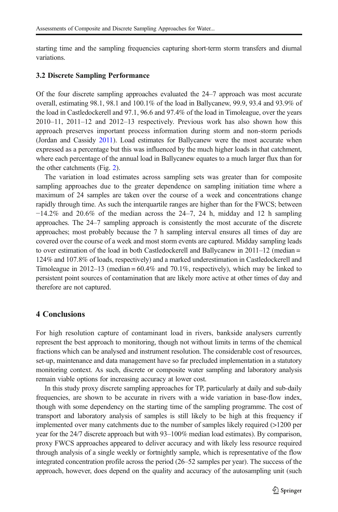starting time and the sampling frequencies capturing short-term storm transfers and diurnal variations.

## 3.2 Discrete Sampling Performance

Of the four discrete sampling approaches evaluated the 24–7 approach was most accurate overall, estimating 98.1, 98.1 and 100.1% of the load in Ballycanew, 99.9, 93.4 and 93.9% of the load in Castledockerell and 97.1, 96.6 and 97.4% of the load in Timoleague, over the years 2010–11, 2011–12 and 2012–13 respectively. Previous work has also shown how this approach preserves important process information during storm and non-storm periods (Jordan and Cassidy [2011](#page-14-0)). Load estimates for Ballycanew were the most accurate when expressed as a percentage but this was influenced by the much higher loads in that catchment, where each percentage of the annual load in Ballycanew equates to a much larger flux than for the other catchments (Fig. [2](#page-11-0)).

The variation in load estimates across sampling sets was greater than for composite sampling approaches due to the greater dependence on sampling initiation time where a maximum of 24 samples are taken over the course of a week and concentrations change rapidly through time. As such the interquartile ranges are higher than for the FWCS; between −14.2% and 20.6% of the median across the 24–7, 24 h, midday and 12 h sampling approaches. The 24–7 sampling approach is consistently the most accurate of the discrete approaches; most probably because the 7 h sampling interval ensures all times of day are covered over the course of a week and most storm events are captured. Midday sampling leads to over estimation of the load in both Castledockerell and Ballycanew in  $2011-12$  (median = 124% and 107.8% of loads, respectively) and a marked underestimation in Castledockerell and Timoleague in  $2012-13$  (median =  $60.4\%$  and  $70.1\%$ , respectively), which may be linked to persistent point sources of contamination that are likely more active at other times of day and therefore are not captured.

## 4 Conclusions

For high resolution capture of contaminant load in rivers, bankside analysers currently represent the best approach to monitoring, though not without limits in terms of the chemical fractions which can be analysed and instrument resolution. The considerable cost of resources, set-up, maintenance and data management have so far precluded implementation in a statutory monitoring context. As such, discrete or composite water sampling and laboratory analysis remain viable options for increasing accuracy at lower cost.

In this study proxy discrete sampling approaches for TP, particularly at daily and sub-daily frequencies, are shown to be accurate in rivers with a wide variation in base-flow index, though with some dependency on the starting time of the sampling programme. The cost of transport and laboratory analysis of samples is still likely to be high at this frequency if implemented over many catchments due to the number of samples likely required (>1200 per year for the 24/7 discrete approach but with 93–100% median load estimates). By comparison, proxy FWCS approaches appeared to deliver accuracy and with likely less resource required through analysis of a single weekly or fortnightly sample, which is representative of the flow integrated concentration profile across the period (26–52 samples per year). The success of the approach, however, does depend on the quality and accuracy of the autosampling unit (such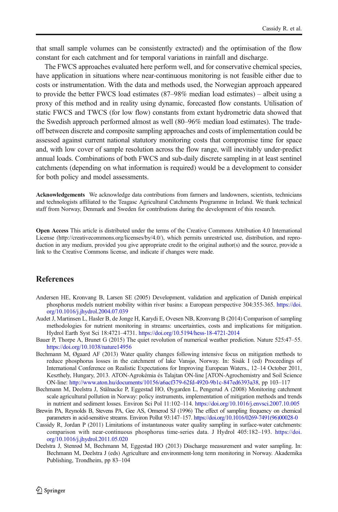<span id="page-13-0"></span>that small sample volumes can be consistently extracted) and the optimisation of the flow constant for each catchment and for temporal variations in rainfall and discharge.

The FWCS approaches evaluated here perform well, and for conservative chemical species, have application in situations where near-continuous monitoring is not feasible either due to costs or instrumentation. With the data and methods used, the Norwegian approach appeared to provide the better FWCS load estimates (87–98% median load estimates) – albeit using a proxy of this method and in reality using dynamic, forecasted flow constants. Utilisation of static FWCS and TWCS (for low flow) constants from extant hydrometric data showed that the Swedish approach performed almost as well (80–96% median load estimates). The tradeoff between discrete and composite sampling approaches and costs of implementation could be assessed against current national statutory monitoring costs that compromise time for space and, with low cover of sample resolution across the flow range, will inevitably under-predict annual loads. Combinations of both FWCS and sub-daily discrete sampling in at least sentinel catchments (depending on what information is required) would be a development to consider for both policy and model assessments.

Acknowledgements We acknowledge data contributions from farmers and landowners, scientists, technicians and technologists affiliated to the Teagasc Agricultural Catchments Programme in Ireland. We thank technical staff from Norway, Denmark and Sweden for contributions during the development of this research.

Open Access This article is distributed under the terms of the Creative Commons Attribution 4.0 International License (http://creativecommons.org/licenses/by/4.0/), which permits unrestricted use, distribution, and reproduction in any medium, provided you give appropriate credit to the original author(s) and the source, provide a link to the Creative Commons license, and indicate if changes were made.

# **References**

- Andersen HE, Kronvang B, Larsen SE (2005) Development, validation and application of Danish empirical phosphorus models nutrient mobility within river basins: a European perspective 304:355-365. [https://doi.](https://doi.org/10.1016/j.jhydrol.2004.07.039) [org/10.1016/j.jhydrol.2004.07.039](https://doi.org/10.1016/j.jhydrol.2004.07.039)
- Audet J, Martinsen L, Hasler B, de Jonge H, Karydi E, Ovesen NB, Kronvang B (2014) Comparison of sampling methodologies for nutrient monitoring in streams: uncertainties, costs and implications for mitigation. Hydrol Earth Syst Sci 18:4721–4731. <https://doi.org/10.5194/hess-18-4721-2014>
- Bauer P, Thorpe A, Brunet G (2015) The quiet revolution of numerical weather prediction. Nature 525:47–55. <https://doi.org/10.1038/nature14956>
- Bechmann M, Øgaard AF (2013) Water quality changes following intensive focus on mitigation methods to reduce phosphorus losses in the catchment of lake Vansjø, Norway. In: Sisák I (ed) Proceedings of International Conference on Realistic Expectations for Improving European Waters., 12–14 October 2011, Keszthely, Hungary, 2013. ATON-Agrokémia és Talajtan ON-line [ATON-Agrochemistry and Soil Science ON-line: <http://www.aton.hu/documents/10156/a6acf379-62fd-4920-9b1c-847ed6393a38>, pp 103–117
- Bechmann M, Deelstra J, Stålnacke P, Eggestad HO, Øygarden L, Pengerud A (2008) Monitoring catchment scale agricultural pollution in Norway: policy instruments, implementation of mitigation methods and trends in nutrient and sediment losses. Environ Sci Pol 11:102–114. <https://doi.org/10.1016/j.envsci.2007.10.005>
- Brewin PA, Reynolds B, Stevens PA, Gee AS, Ormerod SJ (1996) The effect of sampling frequency on chemical parameters in acid-sensitive streams. Environ Pollut 93:147–157. [https://doi.org/10.1016/0269-7491\(96\)00028-0](https://doi.org/10.1016/0269-7491(96)00028-0)
- Cassidy R, Jordan P (2011) Limitations of instantaneous water quality sampling in surface-water catchments: comparison with near-continuous phosphorus time-series data. J Hydrol 405:182–193. [https://doi.](https://doi.org/10.1016/j.jhydrol.2011.05.020) [org/10.1016/j.jhydrol.2011.05.020](https://doi.org/10.1016/j.jhydrol.2011.05.020)
- Deelstra J, Stenrød M, Bechmann M, Eggestad HO (2013) Discharge measurement and water sampling. In: Bechmann M, Deelstra J (eds) Agriculture and environment-long term monitoring in Norway. Akademika Publishing, Trondheim, pp 83–104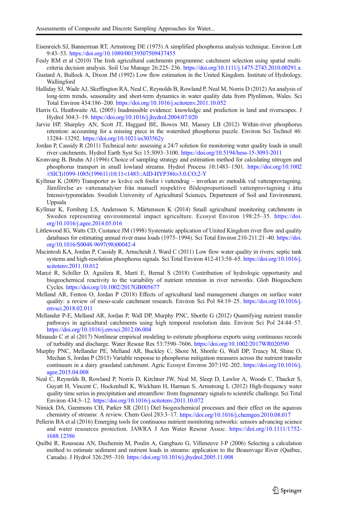- <span id="page-14-0"></span>Eisenreich SJ, Bannerman RT, Armstrong DE (1975) A simplified phosphorus analysis technique. Environ Lett 9:43–53. <https://doi.org/10.1080/00139307509437455>
- Fealy RM et al (2010) The Irish agricultural catchments programme: catchment selection using spatial multicriteria decision analysis. Soil Use Manage 26:225–236. <https://doi.org/10.1111/j.1475-2743.2010.00291.x>
- Gustard A, Bullock A, Dixon JM (1992) Low flow estimation in the United Kingdom. Institute of Hydrology, Wallingford
- Halliday SJ, Wade AJ, Skeffington RA, Neal C, Reynolds B, Rowland P, Neal M, Norris D (2012) An analysis of long-term trends, seasonality and short-term dynamics in water quality data from Plynlimon, Wales. Sci Total Environ 434:186–200. <https://doi.org/10.1016/j.scitotenv.2011.10.052>
- Harris G, Heathwaite AL (2005) Inadmissible evidence: knowledge and prediction in land and riverscapes. J Hydrol 304:3–19. <https://doi.org/10.1016/j.jhydrol.2004.07.020>
- Jarvie HP, Sharpley AN, Scott JT, Haggard BE, Bowes MJ, Massey LB (2012) Within-river phosphorus retention: accounting for a missing piece in the watershed phosphorus puzzle. Environ Sci Technol 46: 13284–13292. <https://doi.org/10.1021/es303562y>
- Jordan P, Cassidy R (2011) Technical note: assessing a 24/7 solution for monitoring water quality loads in small river catchments. Hydrol Earth Syst Sci 15:3093–3100. <https://doi.org/10.5194/hess-15-3093-2011>
- Kronvang B, Bruhn AJ (1996) Choice of sampling strategy and estimation method for calculating nitrogen and phosphorus transport in small lowland streams. Hydrol Process 10:1483–1501. [https://doi.org/10.1002](https://doi.org/10.1002/(SICI)1099-1085(199611)10:11<1483::AID-HYP386>3.0.CO;2-Y) [/\(SICI\)1099-1085\(199611\)10:11<1483::AID-HYP386>3.0.CO;2-Y](https://doi.org/10.1002/(SICI)1099-1085(199611)10:11<1483::AID-HYP386>3.0.CO;2-Y)
- Kyllmar K (2009) Transporter av kväve och fosfor i vattendrag inverkan av metodik vid vattenprovtagning. Jämförelse av vattenanalyser från manuell respektive flödesproportionell vattenprovtagning i åtta Intensivtypområden. Swedish University of Agricultural Sciences, Department of Soil and Environment, Uppsala
- Kyllmar K, Forsberg LS, Andersson S, Mårtensson K (2014) Small agricultural monitoring catchments in Sweden representing environmental impact agriculture. Ecosyst Environ 198:25–35. [https://doi.](https://doi.org/10.1016/j.agee.2014.05.016) [org/10.1016/j.agee.2014.05.016](https://doi.org/10.1016/j.agee.2014.05.016)
- Littlewood IG, Watts CD, Custance JM (1998) Systematic application of United Kingdom river flow and quality databases for estimating annual river mass loads (1975–1994). Sci Total Environ 210-211:21–40. [https://doi.](https://doi.org/10.1016/S0048-9697(98)00042-4) [org/10.1016/S0048-9697\(98\)00042-4](https://doi.org/10.1016/S0048-9697(98)00042-4)
- Macintosh KA, Jordan P, Cassidy R, Arnscheidt J, Ward C (2011) Low flow water quality in rivers; septic tank systems and high-resolution phosphorus signals. Sci Total Environ 412-413:58–65. [https://doi.org/10.1016/j.](https://doi.org/10.1016/j.scitotenv.2011.10.012) [scitotenv.2011.10.012](https://doi.org/10.1016/j.scitotenv.2011.10.012)
- Marcé R, Schiller D, Aguilera R, Martí E, Bernal S (2018) Contribution of hydrologic opportunity and biogeochemical reactivity to the variability of nutrient retention in river networks. Glob Biogeochem Cycles. <https://doi.org/10.1002/2017GB005677>
- Melland AR, Fenton O, Jordan P (2018) Effects of agricultural land management changes on surface water quality: a review of meso-scale catchment research. Environ Sci Pol 84:19–25. [https://doi.org/10.1016/j.](https://doi.org/10.1016/j.envsci.2018.02.011) [envsci.2018.02.011](https://doi.org/10.1016/j.envsci.2018.02.011)
- Mellander P-E, Melland AR, Jordan P, Wall DP, Murphy PNC, Shortle G (2012) Quantifying nutrient transfer pathways in agricultural catchments using high temporal resolution data. Environ Sci Pol 24:44–57. <https://doi.org/10.1016/j.envsci.2012.06.004>
- Minaudo C et al (2017) Nonlinear empirical modeling to estimate phosphorus exports using continuous records of turbidity and discharge. Water Resour Res 53:7590–7606. <https://doi.org/10.1002/2017WR020590>
- Murphy PNC, Mellander PE, Melland AR, Buckley C, Shore M, Shortle G, Wall DP, Treacy M, Shine O, Mechan S, Jordan P (2015) Variable response to phosphorus mitigation measures across the nutrient transfer continuum in a dairy grassland catchment. Agric Ecosyst Environ 207:192–202. [https://doi.org/10.1016/j.](https://doi.org/10.1016/j.agee.2015.04.008) [agee.2015.04.008](https://doi.org/10.1016/j.agee.2015.04.008)
- Neal C, Reynolds B, Rowland P, Norris D, Kirchner JW, Neal M, Sleep D, Lawlor A, Woods C, Thacker S, Guyatt H, Vincent C, Hockenhull K, Wickham H, Harman S, Armstrong L (2012) High-frequency water quality time series in precipitation and streamflow: from fragmentary signals to scientific challenge. Sci Total Environ 434:3–12. <https://doi.org/10.1016/j.scitotenv.2011.10.072>
- Nimick DA, Gammons CH, Parker SR (2011) Diel biogeochemical processes and their effect on the aqueous chemistry of streams: A review. Chem Geol 283:3–17. <https://doi.org/10.1016/j.chemgeo.2010.08.017>
- Pellerin BA et al (2016) Emerging tools for continuous nutrient monitoring networks: sensors advancing science and water resources protection. JAWRA J Am Water Resour Assoc. [https://doi.org/10.1111/1752-](https://doi.org/10.1111/1752-1688.12386) [1688.12386](https://doi.org/10.1111/1752-1688.12386)
- Quilbé R, Rousseau AN, Duchemin M, Poulin A, Gangbazo G, Villeneuve J-P (2006) Selecting a calculation method to estimate sediment and nutrient loads in streams: application to the Beaurivage River (Québec, Canada). J Hydrol 326:295–310. <https://doi.org/10.1016/j.jhydrol.2005.11.008>